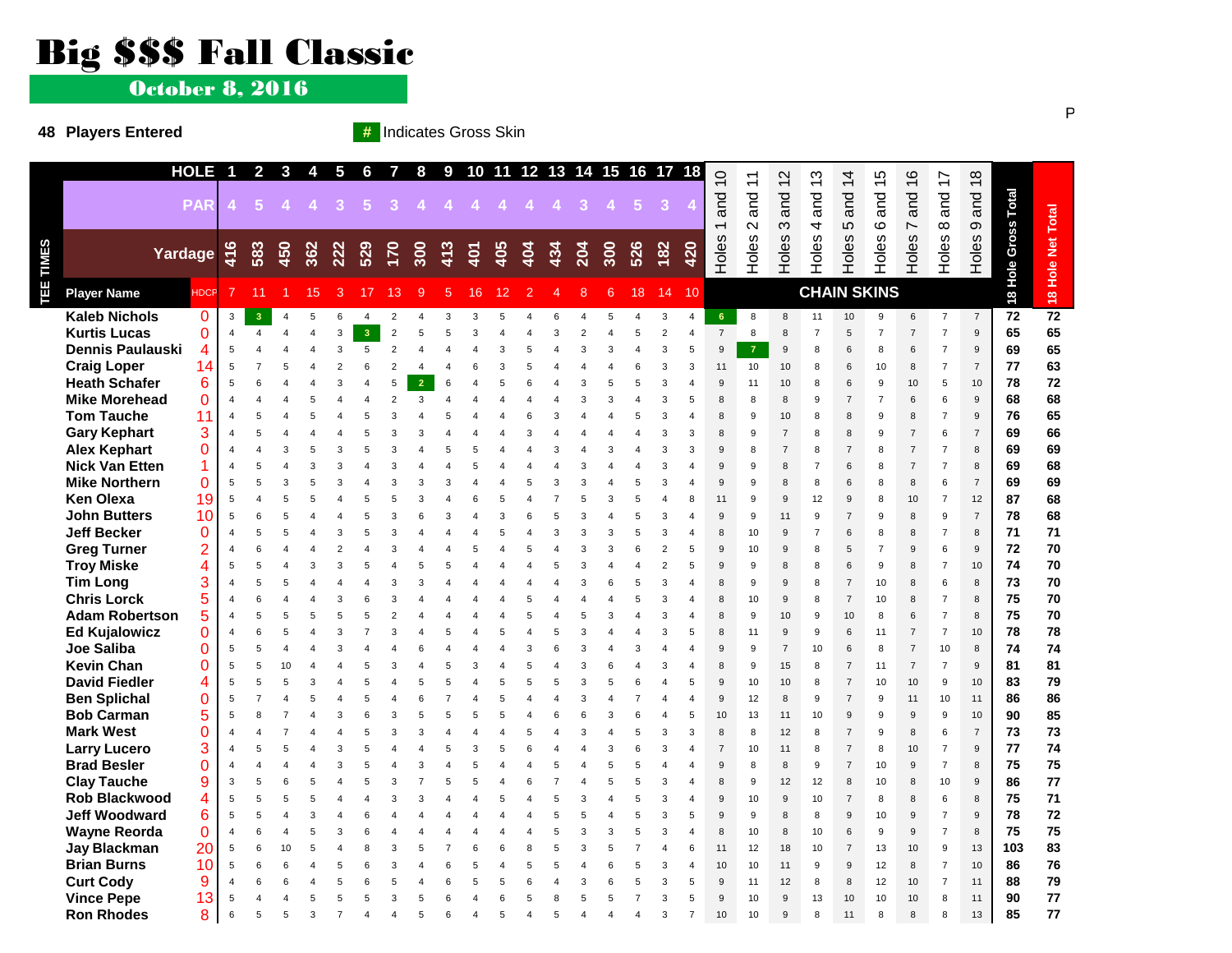## Big \$\$\$ Fall Classic

October 8, 2016

#### **48 Players Entered #** Indicates Gross Skin

|           |                                              | <b>HOLE</b>          | $\overline{1}$                   | $\overline{2}$          | $\overline{\mathbf{3}}$ | $\overline{\mathbf{4}}$ | $5\phantom{.0}$ | 6              | $\overline{7}$ | 8              |                |        |     |     |     | 9 10 11 12 13 14 15 16 17 |        |             |                                | 18                         | $\overline{0}$           | $\tilde{+}$        | $\overline{c}$                   | $\frac{3}{2}$       | $\frac{4}{3}$       | 15                  | $\frac{6}{5}$                    | Ľ                                | $\infty$                 |                     |                  |
|-----------|----------------------------------------------|----------------------|----------------------------------|-------------------------|-------------------------|-------------------------|-----------------|----------------|----------------|----------------|----------------|--------|-----|-----|-----|---------------------------|--------|-------------|--------------------------------|----------------------------|--------------------------|--------------------|----------------------------------|---------------------|---------------------|---------------------|----------------------------------|----------------------------------|--------------------------|---------------------|------------------|
|           |                                              |                      |                                  |                         |                         |                         |                 |                |                |                |                |        |     |     |     |                           |        |             |                                |                            |                          |                    |                                  |                     |                     |                     |                                  | $\overleftarrow{\phantom{a}}$    | $\overline{\phantom{0}}$ |                     |                  |
|           |                                              | <b>PAR</b>           |                                  | 5                       |                         |                         | 3               | 5              | 3              |                |                |        |     |     |     | $\mathbf{3}$              |        | $5^{\circ}$ |                                |                            | and                      | and                | and                              | and                 | and                 | and                 | and                              | and                              | and                      |                     |                  |
|           |                                              |                      |                                  |                         |                         |                         |                 |                |                |                |                |        |     |     |     |                           |        |             |                                |                            | $\overline{\phantom{0}}$ | $\sim$             | $\infty$                         | 4                   | 5                   | ဖ                   | $\overline{ }$                   | $\infty$                         | $\infty$                 |                     |                  |
|           | Yardage                                      |                      | 416                              | 583                     | 450                     | 362                     | 222             | 529            | 170            | 300            | 413            | 401    | 405 | 404 | 434 | 204                       | 300    | 526         | 182                            | 420                        | Holes                    |                    | $\omega$                         | Holes               |                     | Holes               | Holes <sup>-</sup>               |                                  |                          |                     |                  |
|           |                                              |                      |                                  |                         |                         |                         |                 |                |                |                |                |        |     |     |     |                           |        |             |                                |                            |                          | Holes              | <b>Holes</b>                     |                     | Holes               |                     |                                  | Holes                            | Holes                    |                     |                  |
| TEE TIMES | <b>Player Name</b>                           | <b>HDCP</b>          |                                  | 11                      |                         | 15                      | 3               | 17             | 13             | $\mathbf{Q}$   | 5              | 16     | 12  |     |     | 8                         | 6      | 18          | 14                             | 10                         |                          |                    |                                  | <b>CHAIN SKINS</b>  |                     |                     |                                  |                                  |                          | 18 Hole Gross Total | 8 Hole Net Total |
|           |                                              |                      |                                  |                         |                         |                         |                 |                |                |                |                |        |     |     |     |                           |        |             |                                |                            |                          |                    |                                  |                     |                     |                     |                                  |                                  |                          |                     |                  |
|           | <b>Kaleb Nichols</b>                         | 0                    | 3                                | 3                       | $\boldsymbol{\Delta}$   | 5                       | 6               | $\overline{4}$ | $\overline{2}$ |                | 3              | 3      |     |     |     |                           |        |             | 3                              | 4                          | 6                        | 8                  | 8                                | 11                  | 10                  | 9<br>$\overline{7}$ | 6                                | $\overline{7}$                   | $\overline{7}$           | 72                  | $\overline{72}$  |
|           | <b>Kurtis Lucas</b>                          | 0                    | $\overline{4}$                   | $\overline{\mathbf{A}}$ |                         |                         | 3               | 3              | $\overline{2}$ |                | 5              | 3      |     |     |     |                           |        |             | $\mathfrak{p}$<br>$\mathbf{3}$ | $\overline{\mathbf{A}}$    | $\overline{7}$           | 8                  | 8                                | $\overline{7}$      | 5                   |                     | $\overline{7}$                   | $\overline{7}$                   | 9                        | 65                  | 65               |
|           | <b>Dennis Paulauski</b>                      | 4                    | 5                                |                         |                         |                         | 3               | 5              | $\overline{2}$ |                | $\overline{4}$ |        | 3   | 5   |     | 3                         | 3      |             |                                | 5                          | 9                        | $\overline{7}$     | 9                                | 8                   | 6                   | 8                   | 6                                | $\overline{7}$                   | $\mathbf{Q}$             | 69                  | 65               |
|           | <b>Craig Loper</b>                           | 14                   | 5                                |                         |                         |                         |                 |                | $\mathcal{P}$  |                |                |        |     |     |     |                           |        |             | 3                              | 3                          | 11                       | 10                 | 10                               | 8                   | 6                   | 10                  | 8                                | $\overline{7}$                   | $\overline{7}$           | 77                  | 63               |
|           | <b>Heath Schafer</b>                         | 6                    | 5                                | 6                       |                         |                         |                 |                | 5              | $\overline{2}$ | 6              |        |     |     |     | Э                         |        |             | 3                              | $\overline{4}$             | 9                        | 11                 | 10                               | 8                   | 6                   | 9                   | 10                               | 5                                | 10                       | 78                  | 72               |
|           | <b>Mike Morehead</b>                         | $\overline{0}$       | $\overline{4}$                   | Δ                       |                         |                         |                 |                | $\overline{2}$ | 3              | $\overline{4}$ |        |     |     |     |                           |        |             | 3                              | 5                          | 8                        | 8                  | 8                                | 9                   | $\overline{7}$      | $\overline{7}$      | $\,6\,$                          | 6                                | 9                        | 68                  | 68               |
|           | <b>Tom Tauche</b>                            | 11                   | $\overline{4}$                   | 5                       |                         |                         |                 |                | 3              |                | 5              |        |     |     |     |                           |        |             | 3                              | $\overline{4}$             | 8                        | 9                  | 10                               | 8                   | 8                   | 9                   | 8                                | $\overline{7}$                   | 9                        | 76                  | 65               |
|           | <b>Gary Kephart</b>                          | 3                    | $\overline{4}$                   |                         |                         |                         |                 |                |                |                |                |        |     |     |     |                           |        |             |                                | 3<br>3                     | 8<br>9                   | 9                  | $\overline{7}$<br>$\overline{7}$ | 8                   | 8<br>$\overline{7}$ | 9                   | $\overline{7}$                   | 6                                | $\overline{7}$<br>8      | 69                  | 66               |
|           | <b>Alex Kephart</b><br><b>Nick Van Etten</b> | $\Omega$<br>1        | $\overline{A}$                   |                         | 3                       |                         |                 |                | 3              |                | 5              | 5      |     |     |     |                           |        |             | 3                              |                            |                          | 8                  |                                  | 8                   |                     | 8                   | $\overline{7}$<br>$\overline{7}$ | $\overline{7}$<br>$\overline{7}$ |                          | 69<br>69            | 69<br>68         |
|           |                                              |                      | $\overline{4}$<br>5              | 5<br>5                  | 3                       |                         |                 |                | 3              | 3              | 3              |        |     |     | Э   | З                         |        | 5           | 3<br>3                         | $\overline{4}$<br>$\Delta$ | 9<br>9                   | 9<br>$\mathbf{Q}$  | 8<br>8                           | $\overline{7}$<br>8 | 6<br>6              | 8<br>8              | 8                                | 6                                | 8<br>$\overline{7}$      |                     |                  |
|           | <b>Mike Northern</b><br><b>Ken Olexa</b>     | $\overline{0}$<br>19 |                                  |                         |                         |                         |                 |                |                |                |                |        |     |     |     |                           |        |             |                                |                            |                          |                    |                                  |                     |                     |                     |                                  | $\overline{7}$                   |                          | 69<br>87            | 69<br>68         |
|           | <b>John Butters</b>                          |                      | 5<br>5                           | $\overline{4}$<br>6     |                         |                         |                 |                | 3              | 6              | 3              | Δ      | 3   |     | F   | З                         |        |             | 3                              | 8<br>4                     | 11<br>9                  | 9<br>$\mathbf{Q}$  | 9<br>11                          | 12<br>9             | 9<br>$\overline{7}$ | 8<br>9              | 10<br>8                          | 9                                | 12<br>$\overline{7}$     | 78                  | 68               |
|           | <b>Jeff Becker</b>                           | 10<br>0              |                                  |                         |                         |                         |                 |                |                |                |                |        |     |     |     |                           |        |             |                                | $\overline{4}$             |                          |                    |                                  | $\overline{7}$      |                     |                     |                                  | $\overline{7}$                   |                          | 71                  | 71               |
|           | <b>Greg Turner</b>                           |                      | $\overline{4}$<br>$\overline{4}$ | 5<br>6                  |                         |                         |                 |                |                |                |                | 4<br>5 |     |     |     | Э                         | 3<br>3 | 6           | $\mathfrak{p}$                 | 5                          | 8<br>9                   | 10<br>10           | 9<br>9                           | $\mathsf{R}$        | 6<br>5              | 8<br>$\overline{7}$ | 8<br>$\mathbf{Q}$                | 6                                | 8<br>$\mathbf{q}$        | 72                  | 70               |
|           | <b>Troy Miske</b>                            | $\overline{2}$       |                                  | 5                       |                         |                         |                 |                |                |                |                |        |     |     |     |                           |        |             | $\overline{2}$                 | 5                          | 9                        | 9                  |                                  | 8                   | 6                   | 9                   |                                  | $\overline{7}$                   |                          | 74                  | 70               |
|           | <b>Tim Long</b>                              | 4                    | 5<br>$\boldsymbol{\Delta}$       | 5                       |                         |                         |                 |                | 3              | 3              |                |        |     |     |     | Э                         | 6      | 5           | 3                              | $\overline{4}$             | 8                        | $\mathbf{Q}$       | 8<br>$9$                         | 8                   | $\overline{7}$      | 10                  | 8<br>8                           | 6                                | 10<br>$\mathsf{R}$       | 73                  | 70               |
|           | <b>Chris Lorck</b>                           | 3<br>5               | $\overline{4}$                   | 6                       |                         |                         |                 |                |                |                |                |        |     |     |     |                           |        |             | 3                              | $\overline{4}$             | 8                        |                    |                                  |                     | $\overline{7}$      |                     |                                  | $\overline{7}$                   | 8                        | 75                  | 70               |
|           | <b>Adam Robertson</b>                        | 5                    | $\boldsymbol{\Delta}$            | 5                       |                         |                         |                 |                |                |                |                |        |     |     |     | 5                         | 3      |             | 3                              |                            | $\mathsf{R}$             | 10<br>$\mathbf{Q}$ | 9<br>10                          | 8<br>9              | 10                  | 10<br>8             | 8<br>$\,6\,$                     | $\overline{7}$                   | $\mathsf{R}$             | 75                  | 70               |
|           | <b>Ed Kujalowicz</b>                         | 0                    | $\overline{4}$                   | 6                       |                         |                         |                 |                | 3              |                | 5              |        |     |     |     | Э                         |        |             | 3                              | 5                          | 8                        | 11                 | $9$                              | 9                   | 6                   | 11                  | $\overline{7}$                   | $\overline{7}$                   | 10                       | 78                  | 78               |
|           | Joe Saliba                                   | 0                    | 5                                | 5                       |                         |                         |                 |                |                |                |                |        |     |     |     | Э                         |        | 3           |                                |                            | $\mathbf{q}$             | g                  | $\overline{7}$                   | 10                  | 6                   | 8                   | $\overline{7}$                   | 10                               | 8                        | 74                  | 74               |
|           | <b>Kevin Chan</b>                            | 0                    | 5                                | 5                       | 10                      |                         |                 |                | 3              |                | 5              | 3      |     |     |     | З                         | 6      |             | 3                              | $\overline{4}$             | 8                        | 9                  | 15                               | 8                   | $\overline{7}$      | 11                  | $\overline{7}$                   | $\overline{7}$                   | 9                        | 81                  | 81               |
|           | <b>David Fiedler</b>                         | 4                    | 5                                | 5                       |                         |                         |                 |                |                |                | 5              |        |     |     |     | З                         |        |             |                                | 5                          | 9                        | 10                 | 10                               | 8                   | $\overline{7}$      | 10                  | 10                               | $\boldsymbol{9}$                 | 10                       | 83                  | 79               |
|           | <b>Ben Splichal</b>                          | 0                    | 5                                |                         |                         |                         |                 |                |                |                |                |        | 5   |     |     | Э                         |        |             |                                |                            | 9                        | 12                 | 8                                | 9                   | $\overline{7}$      | 9                   | 11                               | 10                               | 11                       | 86                  | 86               |
|           | <b>Bob Carman</b>                            | 5                    | 5                                | 8                       |                         |                         |                 |                |                |                | 5              | 5      |     |     |     |                           |        |             |                                | 5                          | 10                       | 13                 | 11                               | 10                  | 9                   | 9                   | 9                                | 9                                | 10                       | 90                  | 85               |
|           | <b>Mark West</b>                             | 0                    | $\overline{4}$                   | Δ                       |                         |                         |                 |                | 3              | 3              |                | Δ      |     |     |     | Э                         |        |             | 3                              | 3                          | 8                        | 8                  | 12                               | 8                   | $\overline{7}$      | 9                   | 8                                | 6                                | $\overline{7}$           | 73                  | 73               |
|           | <b>Larry Lucero</b>                          | 3                    | $\overline{4}$                   | 5                       |                         |                         |                 |                |                |                | 5              | 3      | 5   |     |     |                           | 3      | 6           | 3                              | $\overline{4}$             | $\overline{7}$           | 10                 | 11                               | 8                   | $\overline{7}$      | 8                   | 10                               | $\overline{7}$                   | 9                        | 77                  | 74               |
|           | <b>Brad Besler</b>                           | 0                    | $\overline{4}$                   | Δ                       |                         |                         |                 |                |                | ঽ              |                | 5      |     |     |     |                           | 5      |             |                                | $\Delta$                   | 9                        | 8                  | 8                                | 9                   | $\overline{7}$      | 10                  | 9                                | $\overline{7}$                   | 8                        | 75                  | 75               |
|           | <b>Clay Tauche</b>                           | 9                    | 3                                | 5                       |                         |                         |                 |                | 3              |                | 5              | 5      |     |     |     |                           | 5      | 5           | 3                              | 4                          | 8                        | 9                  | 12                               | 12                  | 8                   | 10                  | 8                                | 10                               | 9                        | 86                  | 77               |
|           | <b>Rob Blackwood</b>                         | 4                    | 5                                | 5                       | 5                       |                         |                 |                | 3              | 3              |                |        |     |     |     | Э                         |        |             | 3                              | $\overline{4}$             | 9                        | 10                 | $9$                              | 10                  | $\overline{7}$      | 8                   | 8                                | 6                                | $\mathsf{R}$             | 75                  | 71               |
|           | <b>Jeff Woodward</b>                         | 6                    | 5                                | 5                       |                         |                         |                 |                |                |                |                |        |     |     |     |                           |        | 5           | 3                              | 5                          | 9                        | 9                  | 8                                | 8                   | 9                   | 10                  | 9                                | $\overline{7}$                   | $\mathbf{Q}$             | 78                  | 72               |
|           | <b>Wayne Reorda</b>                          | 0                    | $\overline{4}$                   | 6                       |                         |                         |                 |                |                |                |                |        |     |     |     | я                         | 3      |             | 3                              |                            | 8                        | 10                 | 8                                | 10                  | 6                   | 9                   | 9                                | $\overline{7}$                   | 8                        | 75                  | 75               |
|           | <b>Jay Blackman</b>                          | 20                   | 5                                | 6                       | 10                      |                         |                 |                |                | 5              |                | 6      | հ   |     | 5   | З                         | 5      |             |                                | 6                          | 11                       | 12                 | 18                               | 10                  | $\overline{7}$      | 13                  | 10                               | 9                                | 13                       | 103                 | 83               |
|           | <b>Brian Burns</b>                           | 10                   | $\sqrt{5}$                       | 6                       |                         |                         |                 |                | з              |                | 6              | 5      |     |     |     |                           |        |             | 3                              | $\overline{4}$             | 10                       | 10                 | 11                               | 9                   | 9                   | 12                  | 8                                | $\overline{7}$                   | 10                       | 86                  | 76               |
|           | <b>Curt Cody</b>                             | 9                    | $\overline{4}$                   | 6                       |                         |                         |                 |                |                |                | 6              | 5      | 5   |     |     | Э                         |        | 5           | 3                              | 5                          | 9                        | 11                 | 12                               | 8                   | 8                   | 12                  | 10                               | $\overline{7}$                   | 11                       | 88                  | 79               |
|           | <b>Vince Pepe</b>                            | 13                   | 5                                |                         |                         |                         |                 |                |                |                | ี              |        |     |     |     | 5                         | 5      |             | 3                              | 5                          | $\overline{9}$           | 10                 | 9                                | 13                  | 10                  | 10                  | 10                               | 8                                | 11                       | 90                  | 77               |
|           | <b>Ron Rhodes</b>                            | 8                    | 6                                | 5                       |                         |                         |                 |                |                | 5              | 6              |        | 5   |     | 5   |                           |        |             | 3                              | 7                          | 10                       | 10                 | 9                                | 8                   | 11                  | 8                   | 8                                | 8                                | 13                       | 85                  | 77               |
|           |                                              |                      |                                  |                         |                         |                         |                 |                |                |                |                |        |     |     |     |                           |        |             |                                |                            |                          |                    |                                  |                     |                     |                     |                                  |                                  |                          |                     |                  |

 $\mathsf{P}$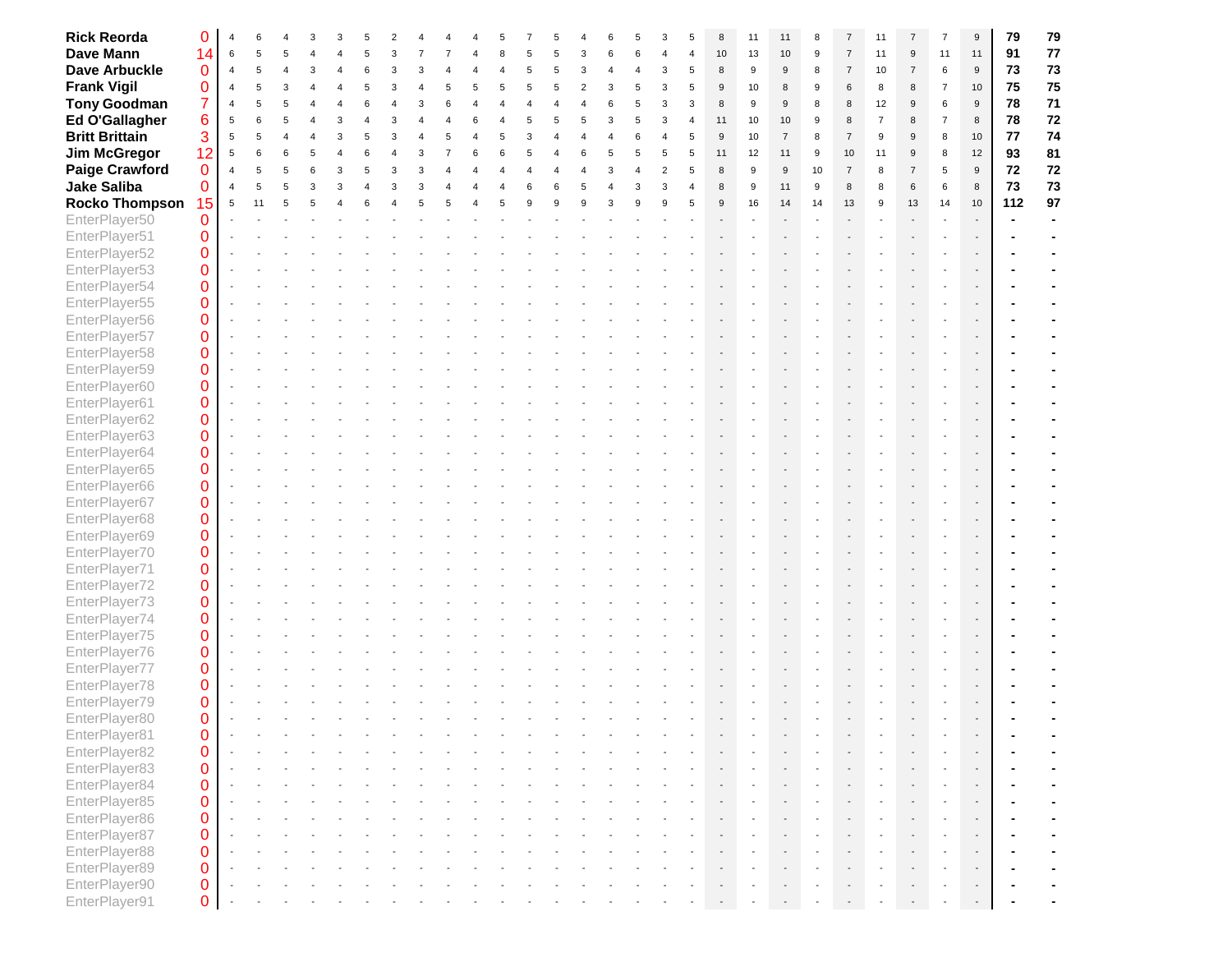| <b>Rick Reorda</b>    | 0              |                |    |   |  |  |  |  |  |  |   |                       | 8            | 11 | 11             |    |                | 11             |                |                | $9\,$            | 79  | 79   |
|-----------------------|----------------|----------------|----|---|--|--|--|--|--|--|---|-----------------------|--------------|----|----------------|----|----------------|----------------|----------------|----------------|------------------|-----|------|
| <b>Dave Mann</b>      | 14             | 6              |    |   |  |  |  |  |  |  |   |                       | 10           | 13 | $10$           | 9  | $\overline{7}$ | 11             | 9              | 11             | 11               | 91  | 77   |
| <b>Dave Arbuckle</b>  | $\mathbf 0$    | $\overline{4}$ |    |   |  |  |  |  |  |  | 3 | 5                     | 8            | 9  | 9              | 8  | $\overline{7}$ | 10             | $\overline{7}$ | $\,6\,$        | $\boldsymbol{9}$ | 73  | 73   |
| <b>Frank Vigil</b>    | $\Omega$       | $\overline{4}$ |    |   |  |  |  |  |  |  |   |                       | 9            | 10 | 8              | 9  | 6              | 8              | 8              | $\overline{7}$ | 10               | 75  | 75   |
| <b>Tony Goodman</b>   | $\overline{7}$ | $\overline{4}$ |    |   |  |  |  |  |  |  |   | 3                     | 8            | 9  | 9              | 8  | 8              | 12             | 9              | 6              | $\boldsymbol{9}$ | 78  | $71$ |
| Ed O'Gallagher        | 6              | 5              |    |   |  |  |  |  |  |  |   | $\boldsymbol{\Delta}$ | 11           | 10 | 10             | 9  | 8              | $\overline{7}$ | 8              | $\overline{7}$ | $\,8\,$          | 78  | 72   |
| <b>Britt Brittain</b> | 3              | 5              | 5  |   |  |  |  |  |  |  |   |                       | $\mathsf g$  | 10 | $\overline{7}$ | 8  | $\overline{7}$ | 9              | 9              | 8              | 10               | 77  | 74   |
| <b>Jim McGregor</b>   | 12             | 5              |    |   |  |  |  |  |  |  |   |                       | 11           | 12 | 11             | 9  | 10             | 11             | 9              | 8              | 12               | 93  | 81   |
| <b>Paige Crawford</b> | $\mathbf{0}$   | $\overline{4}$ |    |   |  |  |  |  |  |  |   |                       | 8            | 9  | 9              | 10 | $\overline{7}$ | 8              | $\overline{7}$ | 5              | $\boldsymbol{9}$ | 72  | 72   |
| <b>Jake Saliba</b>    | 0              | $\overline{4}$ |    |   |  |  |  |  |  |  |   |                       | $\mathsf{R}$ | 9  | 11             | 9  | 8              | 8              | 6              | 6              | $\,8\,$          | 73  | 73   |
|                       |                |                |    | 5 |  |  |  |  |  |  |   |                       | 9            |    |                |    |                | 9              |                |                |                  |     | 97   |
| <b>Rocko Thompson</b> | 15             | 5              | 11 |   |  |  |  |  |  |  |   |                       |              | 16 | 14             | 14 | 13             |                | 13             | 14             | 10               | 112 |      |
| EnterPlayer50         | $\mathbf{0}$   |                |    |   |  |  |  |  |  |  |   |                       |              |    |                |    |                |                |                |                |                  |     |      |
| EnterPlayer51         | $\mathbf 0$    |                |    |   |  |  |  |  |  |  |   |                       |              |    |                |    |                |                |                |                |                  |     |      |
| EnterPlayer52         | $\mathbf 0$    |                |    |   |  |  |  |  |  |  |   |                       |              |    |                |    |                |                |                |                |                  |     |      |
| EnterPlayer53         | $\mathbf 0$    |                |    |   |  |  |  |  |  |  |   |                       |              |    |                |    |                |                |                |                |                  |     |      |
| EnterPlayer54         | $\mathbf 0$    |                |    |   |  |  |  |  |  |  |   |                       |              |    |                |    |                |                |                |                |                  |     |      |
| EnterPlayer55         | $\overline{0}$ |                |    |   |  |  |  |  |  |  |   |                       |              |    |                |    |                |                |                |                |                  |     |      |
| EnterPlayer56         | $\mathbf 0$    |                |    |   |  |  |  |  |  |  |   |                       |              |    |                |    |                |                |                |                |                  |     |      |
| EnterPlayer57         | $\mathbf 0$    |                |    |   |  |  |  |  |  |  |   |                       |              |    |                |    |                |                |                |                |                  |     |      |
| EnterPlayer58         | $\mathbf 0$    |                |    |   |  |  |  |  |  |  |   |                       |              |    |                |    |                |                |                |                |                  |     |      |
| EnterPlayer59         | $\mathbf 0$    |                |    |   |  |  |  |  |  |  |   |                       |              |    |                |    |                |                |                |                |                  |     |      |
| EnterPlayer60         | $\mathbf 0$    |                |    |   |  |  |  |  |  |  |   |                       |              |    |                |    |                |                |                |                |                  |     |      |
| EnterPlayer61         | $\mathbf 0$    |                |    |   |  |  |  |  |  |  |   |                       |              |    |                |    |                |                |                |                |                  |     |      |
| EnterPlayer62         | $\mathbf 0$    |                |    |   |  |  |  |  |  |  |   |                       |              |    |                |    |                |                |                |                |                  |     |      |
| EnterPlayer63         | $\mathbf 0$    |                |    |   |  |  |  |  |  |  |   |                       |              |    |                |    |                |                |                |                |                  |     |      |
| EnterPlayer64         | $\overline{0}$ |                |    |   |  |  |  |  |  |  |   |                       |              |    |                |    |                |                |                |                |                  |     |      |
| EnterPlayer65         | $\mathbf 0$    |                |    |   |  |  |  |  |  |  |   |                       |              |    |                |    |                |                |                |                |                  |     |      |
| EnterPlayer66         | $\mathbf 0$    |                |    |   |  |  |  |  |  |  |   |                       |              |    |                |    |                |                |                |                |                  |     |      |
| EnterPlayer67         | $\mathbf 0$    |                |    |   |  |  |  |  |  |  |   |                       |              |    |                |    |                |                |                |                |                  |     |      |
| EnterPlayer68         | $\mathbf 0$    |                |    |   |  |  |  |  |  |  |   |                       |              |    |                |    |                |                |                |                |                  |     |      |
| EnterPlayer69         | $\mathbf 0$    |                |    |   |  |  |  |  |  |  |   |                       |              |    |                |    |                |                |                |                |                  |     |      |
| EnterPlayer70         | $\mathbf 0$    |                |    |   |  |  |  |  |  |  |   |                       |              |    |                |    |                |                |                |                |                  |     |      |
| EnterPlayer71         | $\mathbf 0$    |                |    |   |  |  |  |  |  |  |   |                       |              |    |                |    |                |                |                |                |                  |     |      |
| EnterPlayer72         | $\mathbf 0$    |                |    |   |  |  |  |  |  |  |   |                       |              |    |                |    |                |                |                |                |                  |     |      |
| EnterPlayer73         | $\mathbf 0$    |                |    |   |  |  |  |  |  |  |   |                       |              |    |                |    |                |                |                |                |                  |     |      |
| EnterPlayer74         | $\mathbf 0$    |                |    |   |  |  |  |  |  |  |   |                       |              |    |                |    |                |                |                |                |                  |     |      |
| EnterPlayer75         | $\mathbf 0$    |                |    |   |  |  |  |  |  |  |   |                       |              |    |                |    |                |                |                |                |                  |     |      |
| EnterPlayer76         | $\mathbf 0$    |                |    |   |  |  |  |  |  |  |   |                       |              |    |                |    |                |                |                |                |                  |     |      |
| EnterPlayer77         | $\mathbf 0$    |                |    |   |  |  |  |  |  |  |   |                       |              |    |                |    |                |                |                |                |                  |     |      |
|                       |                |                |    |   |  |  |  |  |  |  |   |                       |              |    |                |    |                |                |                |                |                  |     |      |
| EnterPlayer78         | $\mathbf 0$    |                |    |   |  |  |  |  |  |  |   |                       |              |    |                |    |                |                |                |                |                  |     |      |
| EnterPlayer79         | $\mathbf{0}$   |                |    |   |  |  |  |  |  |  |   |                       |              |    |                |    |                |                |                |                |                  |     |      |
| EnterPlayer80         | 0              |                |    |   |  |  |  |  |  |  |   |                       |              |    |                |    |                |                |                |                |                  |     |      |
| EnterPlayer81         | $\bf{0}$       |                |    |   |  |  |  |  |  |  |   |                       |              |    |                |    |                |                |                |                |                  |     |      |
| EnterPlayer82         | $\mathbf 0$    |                |    |   |  |  |  |  |  |  |   |                       |              |    |                |    |                |                |                |                | ÷.               |     |      |
| EnterPlayer83         | $\bf 0$        |                |    |   |  |  |  |  |  |  |   |                       |              |    |                |    |                |                |                |                | $\mathcal{L}$    |     |      |
| EnterPlayer84         | $\pmb{0}$      |                |    |   |  |  |  |  |  |  |   |                       |              |    |                |    |                |                |                |                |                  |     |      |
| EnterPlayer85         | $\bf{0}$       |                |    |   |  |  |  |  |  |  |   |                       |              |    |                |    |                |                |                |                |                  |     |      |
| EnterPlayer86         | $\bf{0}$       |                |    |   |  |  |  |  |  |  |   |                       |              |    |                |    |                |                |                |                |                  |     |      |
| EnterPlayer87         | $\mathbf 0$    |                |    |   |  |  |  |  |  |  |   |                       |              |    |                |    |                |                |                |                |                  |     |      |
| EnterPlayer88         | $\mathbf 0$    |                |    |   |  |  |  |  |  |  |   |                       |              |    |                |    |                |                |                |                |                  |     |      |
| EnterPlayer89         | $\bf 0$        |                |    |   |  |  |  |  |  |  |   |                       |              |    |                |    |                |                |                |                |                  |     |      |
| EnterPlayer90         | $\pmb{0}$      |                |    |   |  |  |  |  |  |  |   |                       |              |    |                |    |                |                |                |                |                  |     |      |
| EnterPlayer91         | $\mathbf 0$    |                |    |   |  |  |  |  |  |  |   |                       |              |    |                |    |                |                |                |                |                  |     |      |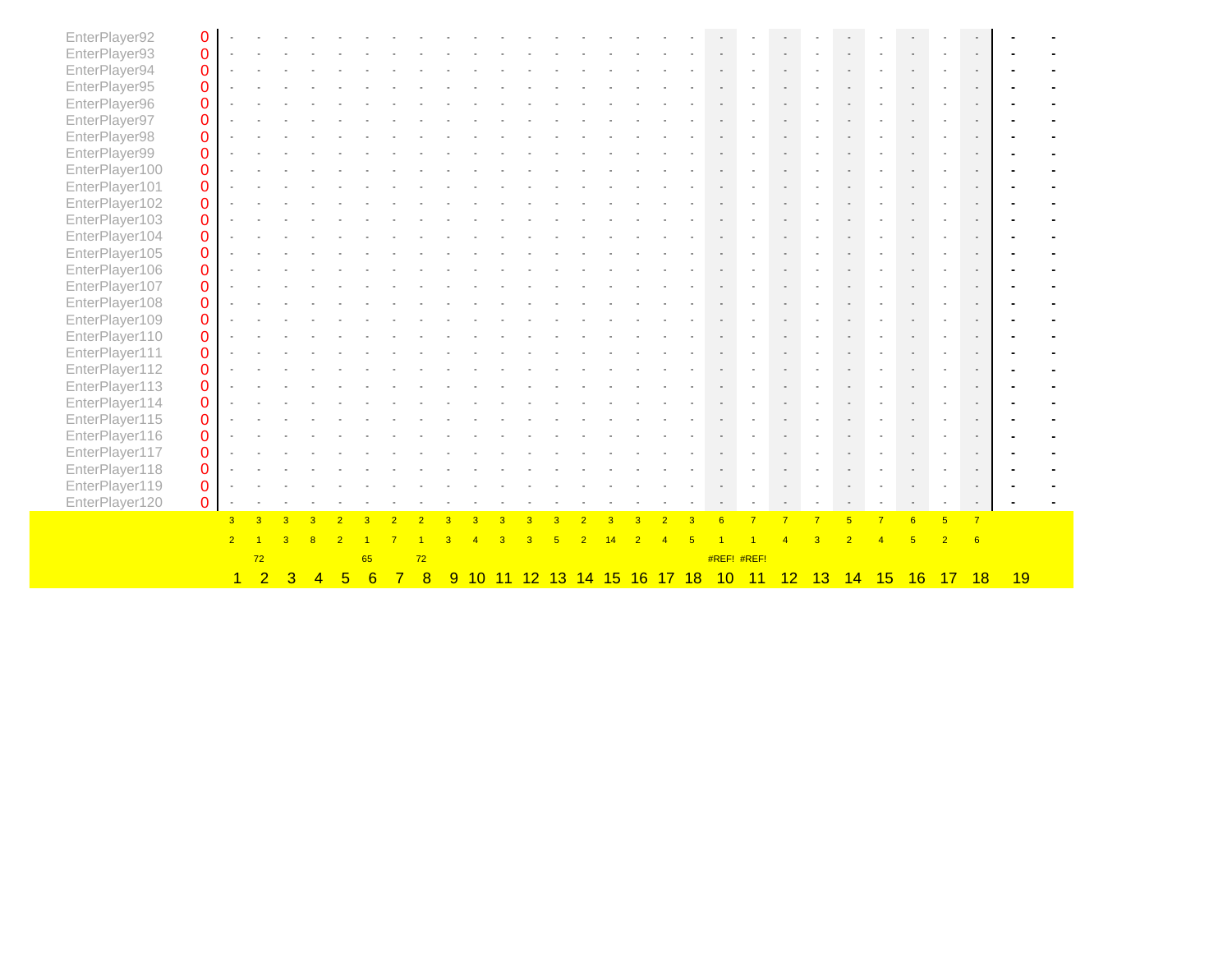| EnterPlayer92  | $\boldsymbol{0}$ |                |                |                         |                |                 |    |                |    |   |    |    |                 |                 |    |      |                 |                 |    |                |                |                |    |            |                |    |  |
|----------------|------------------|----------------|----------------|-------------------------|----------------|-----------------|----|----------------|----|---|----|----|-----------------|-----------------|----|------|-----------------|-----------------|----|----------------|----------------|----------------|----|------------|----------------|----|--|
| EnterPlayer93  | $\pmb{0}$        |                |                |                         |                |                 |    |                |    |   |    |    |                 |                 |    |      |                 |                 |    |                |                |                |    |            |                |    |  |
| EnterPlayer94  | $\pmb{0}$        |                |                |                         |                |                 |    |                |    |   |    |    |                 |                 |    |      |                 |                 |    |                |                |                |    |            |                |    |  |
| EnterPlayer95  | $\mathbf 0$      |                |                |                         |                |                 |    |                |    |   |    |    |                 |                 |    |      |                 |                 |    |                |                |                |    |            |                |    |  |
| EnterPlayer96  | $\mathbf 0$      |                |                |                         |                |                 |    |                |    |   |    |    |                 |                 |    |      |                 |                 |    |                |                |                |    |            |                |    |  |
| EnterPlayer97  | $\bf 0$          |                |                |                         |                |                 |    |                |    |   |    |    |                 |                 |    |      |                 |                 |    |                |                |                |    |            |                |    |  |
| EnterPlayer98  | $\bf 0$          |                |                |                         |                |                 |    |                |    |   |    |    |                 |                 |    |      |                 |                 |    |                |                |                |    |            |                |    |  |
| EnterPlayer99  | $\mathbf 0$      |                |                |                         |                |                 |    |                |    |   |    |    |                 |                 |    |      |                 |                 |    |                |                |                |    |            |                |    |  |
| EnterPlayer100 | $\mathbf 0$      |                |                |                         |                |                 |    |                |    |   |    |    |                 |                 |    |      |                 |                 |    |                |                |                |    |            |                |    |  |
| EnterPlayer101 | $\mathbf 0$      |                |                |                         |                |                 |    |                |    |   |    |    |                 |                 |    |      |                 |                 |    |                |                |                |    |            |                |    |  |
| EnterPlayer102 | $\mathbf 0$      |                |                |                         |                |                 |    |                |    |   |    |    |                 |                 |    |      |                 |                 |    |                |                |                |    |            |                |    |  |
| EnterPlayer103 | $\mathbf 0$      |                |                |                         |                |                 |    |                |    |   |    |    |                 |                 |    |      |                 |                 |    |                |                |                |    |            |                |    |  |
| EnterPlayer104 | $\mathbf 0$      |                |                |                         |                |                 |    |                |    |   |    |    |                 |                 |    |      |                 |                 |    |                |                |                |    |            |                |    |  |
| EnterPlayer105 | $\pmb{0}$        |                |                |                         |                |                 |    |                |    |   |    |    |                 |                 |    |      |                 |                 |    |                |                |                |    |            |                |    |  |
| EnterPlayer106 | $\bf 0$          |                |                |                         |                |                 |    |                |    |   |    |    |                 |                 |    |      |                 |                 |    |                |                |                |    |            |                |    |  |
| EnterPlayer107 | $\bf 0$          |                |                |                         |                |                 |    |                |    |   |    |    |                 |                 |    |      |                 |                 |    |                |                |                |    |            |                |    |  |
| EnterPlayer108 | $\pmb{0}$        |                |                |                         |                |                 |    |                |    |   |    |    |                 |                 |    |      |                 |                 |    |                |                |                |    |            |                |    |  |
| EnterPlayer109 | $\mathbf 0$      |                |                |                         |                |                 |    |                |    |   |    |    |                 |                 |    |      |                 |                 |    |                |                |                |    |            |                |    |  |
| EnterPlayer110 | $\mathbf 0$      |                |                |                         |                |                 |    |                |    |   |    |    |                 |                 |    |      |                 |                 |    |                |                |                |    |            |                |    |  |
| EnterPlayer111 | $\mathbf 0$      |                |                |                         |                |                 |    |                |    |   |    |    |                 |                 |    |      |                 |                 |    |                |                |                |    |            |                |    |  |
| EnterPlayer112 | $\mathbf 0$      |                |                |                         |                |                 |    |                |    |   |    |    |                 |                 |    |      |                 |                 |    |                |                |                |    |            |                |    |  |
| EnterPlayer113 | $\pmb{0}$        |                |                |                         |                |                 |    |                |    |   |    |    |                 |                 |    |      |                 |                 |    |                |                |                |    |            |                |    |  |
| EnterPlayer114 | $\pmb{0}$        |                |                |                         |                |                 |    |                |    |   |    |    |                 |                 |    |      |                 |                 |    |                |                |                |    |            |                |    |  |
| EnterPlayer115 | $\mathbf 0$      |                |                |                         |                |                 |    |                |    |   |    |    |                 |                 |    |      |                 |                 |    |                |                |                |    |            |                |    |  |
| EnterPlayer116 | $\mathbf 0$      |                |                |                         |                |                 |    |                |    |   |    |    |                 |                 |    |      |                 |                 |    |                |                |                |    |            |                |    |  |
| EnterPlayer117 | $\mathbf 0$      |                |                |                         |                |                 |    |                |    |   |    |    |                 |                 |    |      |                 |                 |    |                |                |                |    |            |                |    |  |
| EnterPlayer118 | $\mathbf 0$      |                |                |                         |                |                 |    |                |    |   |    |    |                 |                 |    |      |                 |                 |    |                |                |                |    |            |                |    |  |
| EnterPlayer119 | $\mathbf 0$      |                |                |                         |                |                 |    |                |    |   |    |    |                 |                 |    |      |                 |                 |    |                |                |                |    |            |                |    |  |
| EnterPlayer120 | $\mathbf 0$      |                |                |                         |                |                 |    |                |    |   |    |    |                 |                 |    |      |                 |                 |    |                |                |                |    |            |                |    |  |
|                |                  | 3 <sup>°</sup> | $\overline{3}$ | $\overline{\mathbf{3}}$ |                |                 |    |                |    |   |    |    |                 |                 |    |      | $6\overline{6}$ |                 |    | $\overline{7}$ | $\overline{5}$ | $\overline{7}$ | 6  | $\sqrt{5}$ | $\overline{7}$ |    |  |
|                |                  | $\overline{2}$ |                |                         |                |                 |    |                |    |   |    |    |                 |                 |    |      |                 |                 |    |                |                |                |    |            | 6              |    |  |
|                |                  |                | 72             |                         |                |                 | 65 |                | 72 |   |    |    |                 |                 |    |      | #REF! #REF!     |                 |    |                |                |                |    |            |                |    |  |
|                |                  | $\mathbf{1}$   | $\overline{2}$ | $\overline{3}$          | $\overline{4}$ | $5\phantom{.0}$ | 6  | $\overline{7}$ | 8  | 9 | 10 | 11 | 12 <sup>2</sup> | <u>13 14 15</u> | 16 | 1718 | 10              | $\overline{11}$ | 12 | 13             | 14             | 15             | 16 | 17         | 18             | 19 |  |
|                |                  |                |                |                         |                |                 |    |                |    |   |    |    |                 |                 |    |      |                 |                 |    |                |                |                |    |            |                |    |  |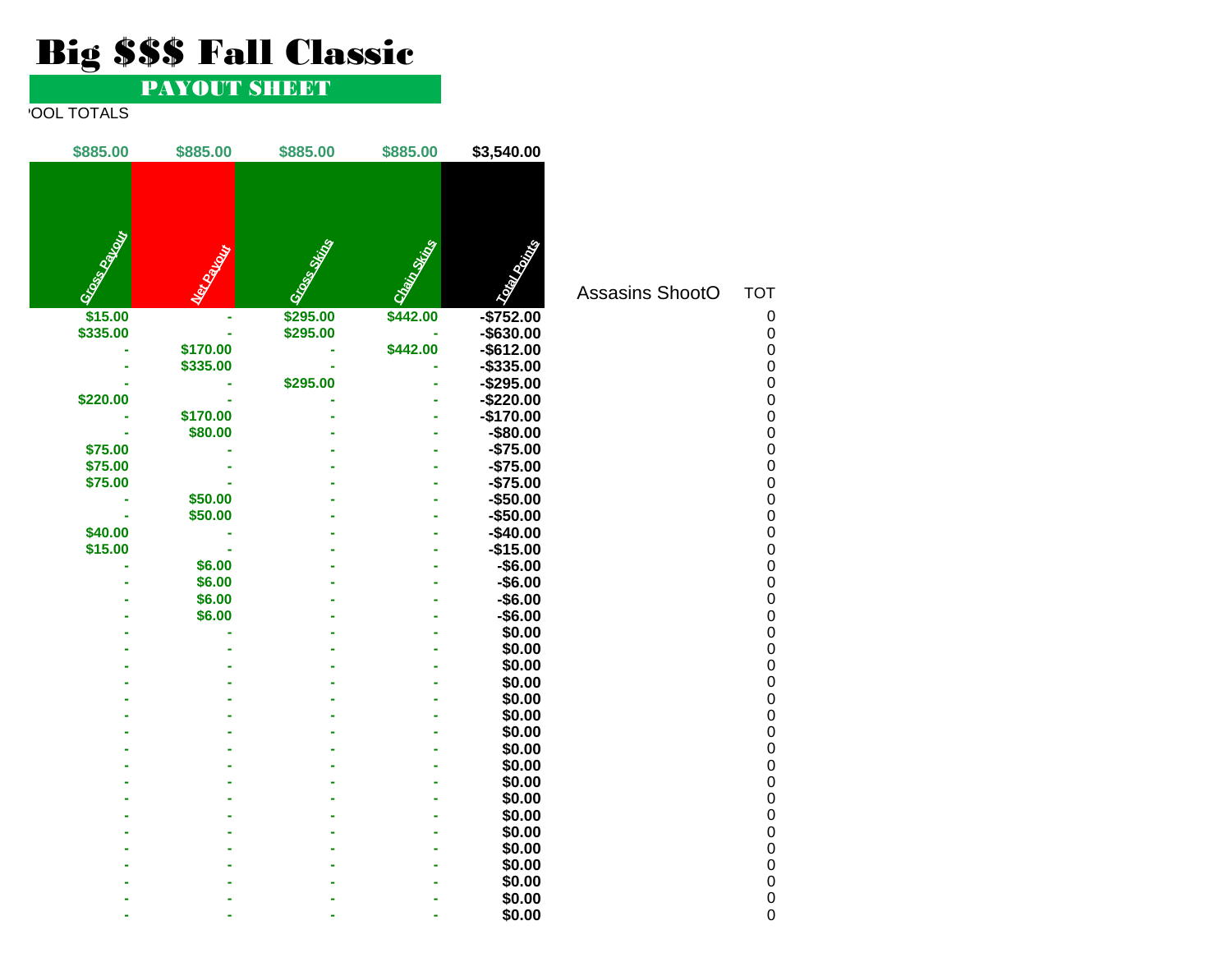# Big \$\$\$ Fall Classic

### PAYOUT SHEET

### **POOL TOTALS**

| \$885.00      | \$885.00        | \$885.00     | \$885.00     | \$3,540.00             |                 |                                                |
|---------------|-----------------|--------------|--------------|------------------------|-----------------|------------------------------------------------|
| Gross Partner | <b>Children</b> | Grand String | Chain String | <b>CONTRACTOR</b>      | Assasins ShootO | <b>TOT</b>                                     |
| \$15.00       |                 | \$295.00     | \$442.00     | $-$752.00$             |                 | 0                                              |
| \$335.00      |                 | \$295.00     |              | $-$ \$630.00           |                 | $\mathbf 0$                                    |
|               | \$170.00        |              | \$442.00     | $-$ \$612.00           |                 | $\mathbf 0$                                    |
|               | \$335.00        |              |              | $-$335.00$             |                 | $\mathbf 0$                                    |
|               |                 | \$295.00     |              | $-$295.00$             |                 | $\begin{matrix} 0 \\ 0 \end{matrix}$           |
| \$220.00      |                 |              |              | $-$220.00$             |                 |                                                |
|               | \$170.00        |              |              | $-$170.00$             |                 | $\begin{matrix} 0 \\ 0 \end{matrix}$           |
|               | \$80.00         |              |              | $-$80.00$              |                 |                                                |
| \$75.00       |                 |              |              | $-$75.00$              |                 | $\begin{matrix} 0 \\ 0 \\ 0 \\ 0 \end{matrix}$ |
| \$75.00       |                 |              |              | $-$75.00$              |                 |                                                |
| \$75.00       |                 |              |              | $-$75.00$              |                 |                                                |
|               | \$50.00         |              |              | $-$50.00$              |                 |                                                |
| \$40.00       | \$50.00         |              |              | $-$50.00$<br>$-$40.00$ |                 | $\begin{matrix} 0 \\ 0 \end{matrix}$           |
| \$15.00       | ä,              |              |              | $-$15.00$              |                 |                                                |
|               | \$6.00          |              |              | $-$6.00$               |                 |                                                |
|               | \$6.00          |              |              | $-$6.00$               |                 |                                                |
|               | \$6.00          |              |              | $-$6.00$               |                 | $\begin{matrix} 0 \\ 0 \\ 0 \\ 0 \end{matrix}$ |
|               | \$6.00          |              |              | $-$6.00$               |                 |                                                |
|               |                 |              |              | \$0.00                 |                 | $\begin{matrix} 0 \\ 0 \\ 0 \end{matrix}$      |
|               |                 |              |              | \$0.00                 |                 |                                                |
|               |                 |              |              | \$0.00                 |                 |                                                |
|               |                 |              |              | \$0.00                 |                 | 0000000                                        |
|               |                 |              |              | \$0.00                 |                 |                                                |
|               |                 |              |              | \$0.00                 |                 |                                                |
|               |                 |              |              | \$0.00                 |                 |                                                |
|               |                 |              |              | \$0.00<br>\$0.00       |                 |                                                |
|               |                 |              |              | \$0.00                 |                 | $\begin{matrix} 0 \\ 0 \end{matrix}$           |
|               |                 |              |              | \$0.00                 |                 |                                                |
|               |                 |              |              | \$0.00                 |                 | $\begin{matrix} 0 \\ 0 \\ 0 \end{matrix}$      |
|               |                 |              |              | \$0.00                 |                 |                                                |
|               |                 |              |              | \$0.00                 |                 | $\mathbf 0$                                    |
|               |                 |              |              | \$0.00                 |                 |                                                |
|               |                 |              |              | \$0.00                 |                 | $\begin{matrix} 0 \\ 0 \end{matrix}$           |
|               |                 |              |              | \$0.00                 |                 | $\mathbf 0$                                    |
|               |                 |              |              | \$0.00                 |                 | $\overline{0}$                                 |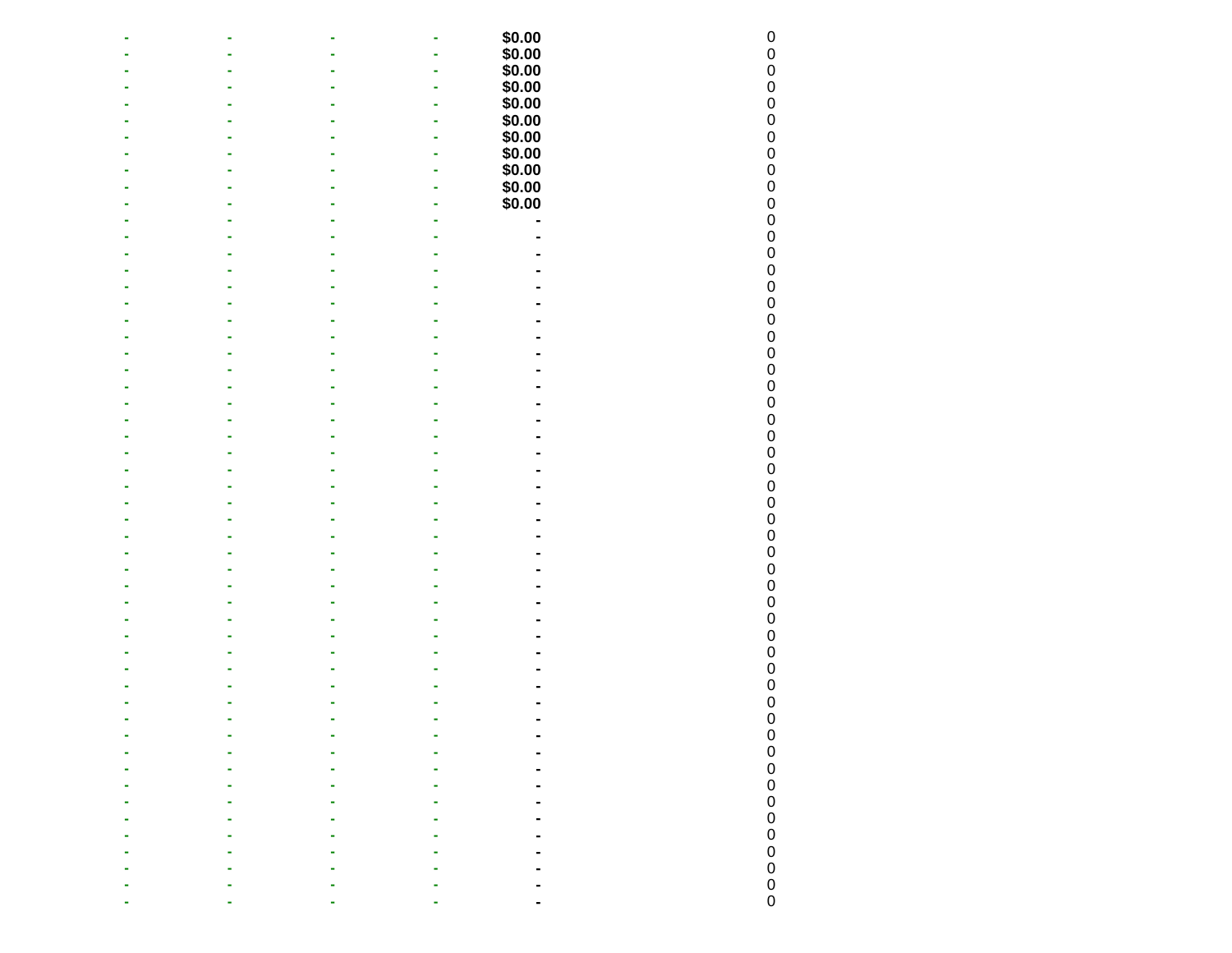|  | $\blacksquare$ |                                      |              |
|--|----------------|--------------------------------------|--------------|
|  |                |                                      |              |
|  |                |                                      |              |
|  |                |                                      |              |
|  |                | $$0.00$0.00$0.00$0.00$0.00$0.000.00$ |              |
|  |                |                                      |              |
|  |                | $$0.00$<br>$$0.00$<br>$$0.00$        |              |
|  |                |                                      |              |
|  |                |                                      |              |
|  |                | \$0.00                               |              |
|  |                | $$0.00$<br>$$0.00$                   |              |
|  |                |                                      |              |
|  |                |                                      |              |
|  |                |                                      |              |
|  |                |                                      |              |
|  |                |                                      |              |
|  |                |                                      |              |
|  |                |                                      |              |
|  |                |                                      |              |
|  |                |                                      |              |
|  |                |                                      |              |
|  |                |                                      |              |
|  |                |                                      |              |
|  |                |                                      |              |
|  |                |                                      |              |
|  |                |                                      |              |
|  |                |                                      |              |
|  |                |                                      |              |
|  |                |                                      |              |
|  |                |                                      |              |
|  |                |                                      |              |
|  |                |                                      |              |
|  |                |                                      |              |
|  |                |                                      |              |
|  |                |                                      |              |
|  |                |                                      |              |
|  |                |                                      |              |
|  |                |                                      |              |
|  |                |                                      |              |
|  |                |                                      |              |
|  |                |                                      |              |
|  |                |                                      |              |
|  |                |                                      |              |
|  |                |                                      |              |
|  |                |                                      |              |
|  |                |                                      |              |
|  |                |                                      |              |
|  |                |                                      |              |
|  |                |                                      | 000000000000 |
|  |                |                                      |              |
|  |                |                                      |              |
|  |                |                                      |              |
|  |                |                                      |              |
|  |                |                                      |              |
|  |                |                                      |              |
|  |                |                                      |              |
|  |                |                                      |              |
|  |                |                                      |              |
|  |                |                                      |              |